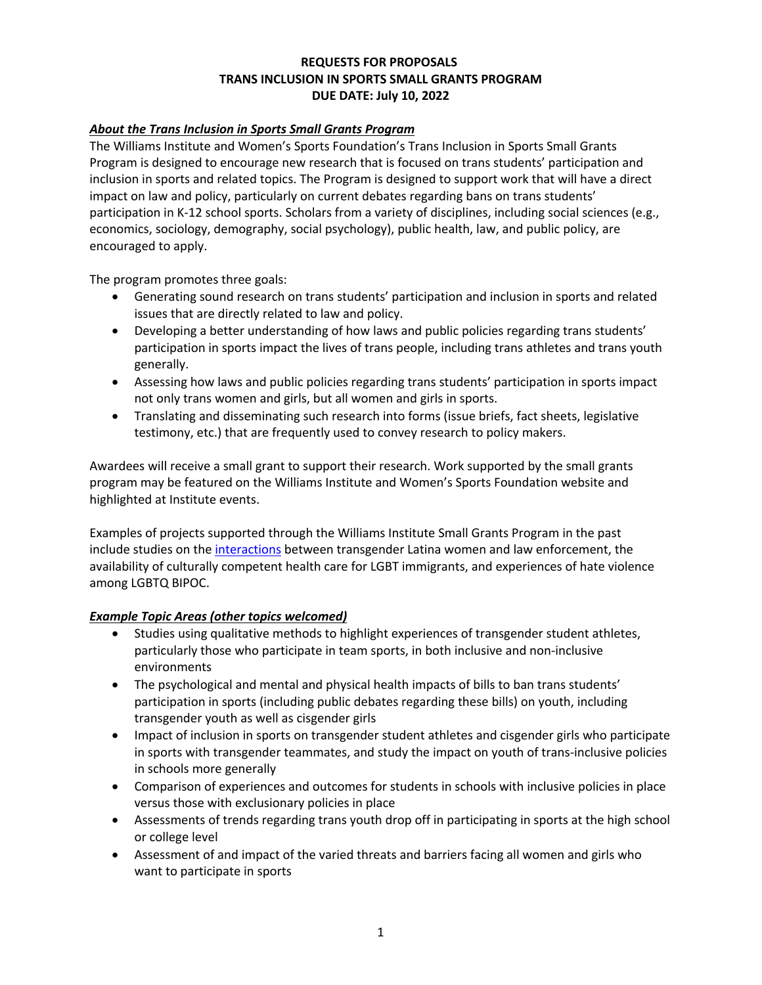## **REQUESTS FOR PROPOSALS TRANS INCLUSION IN SPORTS SMALL GRANTS PROGRAM DUE DATE: July 10, 2022**

### *About the Trans Inclusion in Sports Small Grants Program*

The Williams Institute and Women's Sports Foundation's Trans Inclusion in Sports Small Grants Program is designed to encourage new research that is focused on trans students' participation and inclusion in sports and related topics. The Program is designed to support work that will have a direct impact on law and policy, particularly on current debates regarding bans on trans students' participation in K-12 school sports. Scholars from a variety of disciplines, including social sciences (e.g., economics, sociology, demography, social psychology), public health, law, and public policy, are encouraged to apply.

The program promotes three goals:

- Generating sound research on trans students' participation and inclusion in sports and related issues that are directly related to law and policy.
- Developing a better understanding of how laws and public policies regarding trans students' participation in sports impact the lives of trans people, including trans athletes and trans youth generally.
- Assessing how laws and public policies regarding trans students' participation in sports impact not only trans women and girls, but all women and girls in sports.
- Translating and disseminating such research into forms (issue briefs, fact sheets, legislative testimony, etc.) that are frequently used to convey research to policy makers.

Awardees will receive a small grant to support their research. Work supported by the small grants program may be featured on the Williams Institute and Women's Sports Foundation website and highlighted at Institute events.

Examples of projects supported through the Williams Institute Small Grants Program in the past include studies on the interactions between transgender Latina women and law enforcement, the availability of culturally competent health care for LGBT immigrants, and experiences of hate violence among LGBTQ BIPOC.

#### *Example Topic Areas (other topics welcomed)*

- Studies using qualitative methods to highlight experiences of transgender student athletes, particularly those who participate in team sports, in both inclusive and non-inclusive environments
- The psychological and mental and physical health impacts of bills to ban trans students' participation in sports (including public debates regarding these bills) on youth, including transgender youth as well as cisgender girls
- Impact of inclusion in sports on transgender student athletes and cisgender girls who participate in sports with transgender teammates, and study the impact on youth of trans-inclusive policies in schools more generally
- Comparison of experiences and outcomes for students in schools with inclusive policies in place versus those with exclusionary policies in place
- Assessments of trends regarding trans youth drop off in participating in sports at the high school or college level
- Assessment of and impact of the varied threats and barriers facing all women and girls who want to participate in sports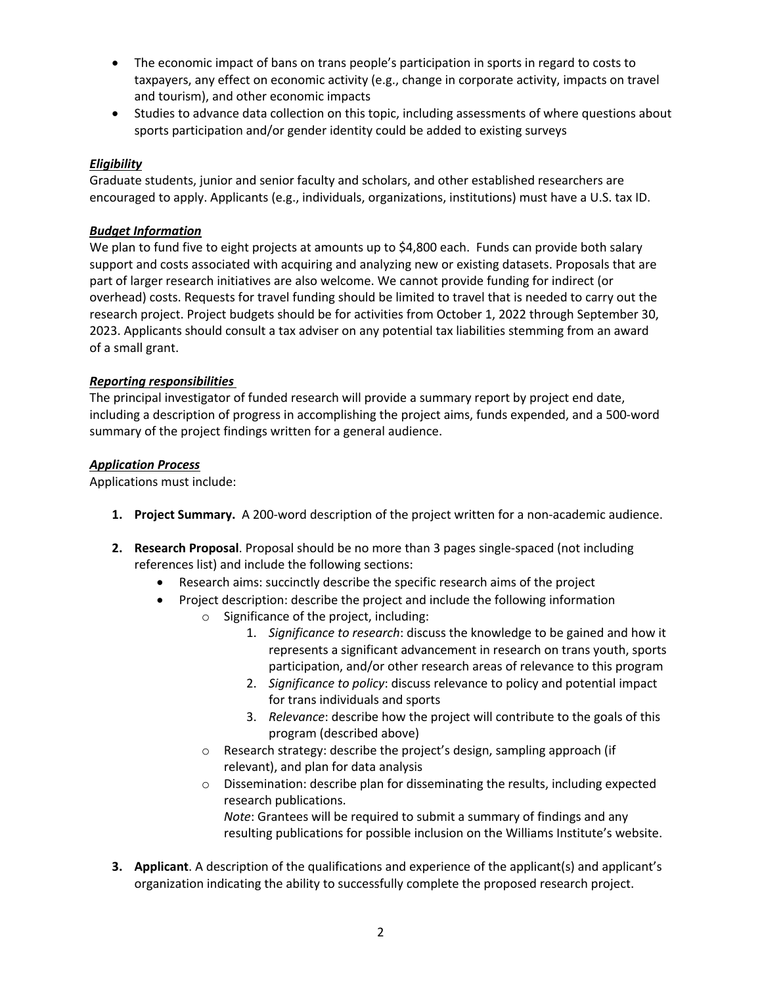- The economic impact of bans on trans people's participation in sports in regard to costs to taxpayers, any effect on economic activity (e.g., change in corporate activity, impacts on travel and tourism), and other economic impacts
- Studies to advance data collection on this topic, including assessments of where questions about sports participation and/or gender identity could be added to existing surveys

# *Eligibility*

Graduate students, junior and senior faculty and scholars, and other established researchers are encouraged to apply. Applicants (e.g., individuals, organizations, institutions) must have a U.S. tax ID.

### *Budget Information*

We plan to fund five to eight projects at amounts up to \$4,800 each. Funds can provide both salary support and costs associated with acquiring and analyzing new or existing datasets. Proposals that are part of larger research initiatives are also welcome. We cannot provide funding for indirect (or overhead) costs. Requests for travel funding should be limited to travel that is needed to carry out the research project. Project budgets should be for activities from October 1, 2022 through September 30, 2023. Applicants should consult a tax adviser on any potential tax liabilities stemming from an award of a small grant.

## *Reporting responsibilities*

The principal investigator of funded research will provide a summary report by project end date, including a description of progress in accomplishing the project aims, funds expended, and a 500-word summary of the project findings written for a general audience.

## *Application Process*

Applications must include:

- **1. Project Summary.** A 200-word description of the project written for a non-academic audience.
- **2. Research Proposal**. Proposal should be no more than 3 pages single-spaced (not including references list) and include the following sections:
	- Research aims: succinctly describe the specific research aims of the project
	- Project description: describe the project and include the following information
		- o Significance of the project, including:
			- 1. *Significance to research*: discuss the knowledge to be gained and how it represents a significant advancement in research on trans youth, sports participation, and/or other research areas of relevance to this program
			- 2. *Significance to policy*: discuss relevance to policy and potential impact for trans individuals and sports
			- 3. *Relevance*: describe how the project will contribute to the goals of this program (described above)
		- o Research strategy: describe the project's design, sampling approach (if relevant), and plan for data analysis
		- o Dissemination: describe plan for disseminating the results, including expected research publications.

*Note*: Grantees will be required to submit a summary of findings and any resulting publications for possible inclusion on the Williams Institute's website.

**3. Applicant**. A description of the qualifications and experience of the applicant(s) and applicant's organization indicating the ability to successfully complete the proposed research project.